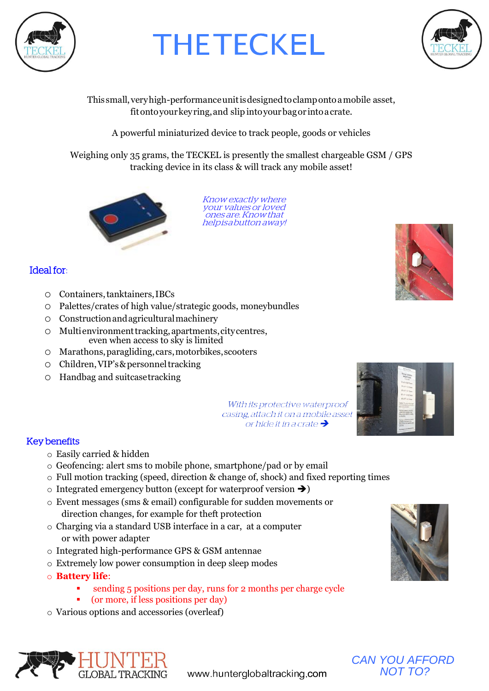

# **THETECKEL**



This small,veryhigh-performanceunitisdesignedtoclampontoamobile asset, fitontoyourkeyring,and slip intoyourbagor intoacrate.

A powerful miniaturized device to track people, goods or vehicles

Weighing only 35 grams, the TECKEL is presently the smallest chargeable GSM / GPS tracking device in its class & will track any mobile asset!



Know exactly where your values or loved ones are. Knowthat helpisabutton away!

### Ideal for:

- o Containers,tanktainers,IBCs
- o Palettes/crates of high value/strategic goods, moneybundles
- o Constructionandagriculturalmachinery
- o Multienvironmenttracking,apartments,citycentres, even when access to sky is limited
- o Marathons,paragliding,cars,motorbikes,scooters
- o Children,VIP's&personneltracking
- o Handbag and suitcasetracking



With its protective waterproof casing, attach it on a mobile asset or hide it in a crate  $\rightarrow$ 

#### Key benefits

- o Easily carried & hidden
- o Geofencing: alert sms to mobile phone, smartphone/pad or by email
- o Full motion tracking (speed, direction & change of, shock) and fixed reporting times
- $\circ$  Integrated emergency button (except for waterproof version  $\rightarrow$ )
- o Event messages (sms & email) configurable for sudden movements or direction changes, for example for theft protection
- o Charging via a standard USB interface in a car, at a computer or with power adapter
- o Integrated high-performance GPS & GSM antennae
- o Extremely low power consumption in deep sleep modes
- o **Battery life**:
	- sending 5 positions per day, runs for 2 months per charge cycle
	- (or more, if less positions per day)
- o Various options and accessories (overleaf)







www.hunterglobaltracking.com